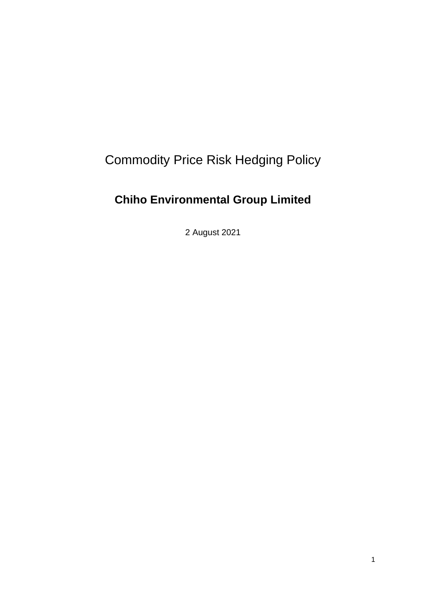# Commodity Price Risk Hedging Policy

# **Chiho Environmental Group Limited**

2 August 2021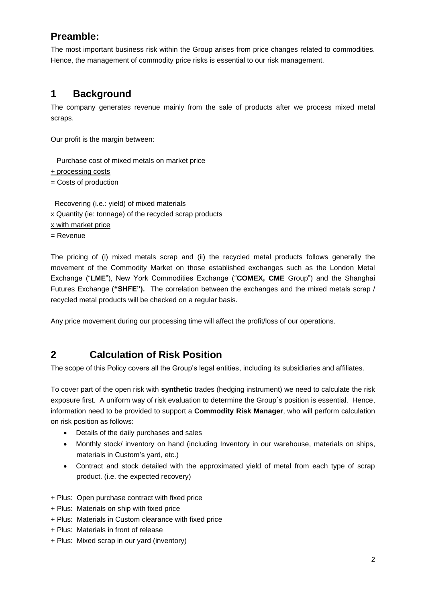# **Preamble:**

The most important business risk within the Group arises from price changes related to commodities. Hence, the management of commodity price risks is essential to our risk management.

# **1 Background**

The company generates revenue mainly from the sale of products after we process mixed metal scraps.

Our profit is the margin between:

 Purchase cost of mixed metals on market price + processing costs = Costs of production

 Recovering (i.e.: yield) of mixed materials x Quantity (ie: tonnage) of the recycled scrap products x with market price = Revenue

The pricing of (i) mixed metals scrap and (ii) the recycled metal products follows generally the movement of the Commodity Market on those established exchanges such as the London Metal Exchange ("**LME**"), New York Commodities Exchange ("**COMEX, CME** Group") and the Shanghai Futures Exchange (**"SHFE").** The correlation between the exchanges and the mixed metals scrap / recycled metal products will be checked on a regular basis.

Any price movement during our processing time will affect the profit/loss of our operations.

# **2 Calculation of Risk Position**

The scope of this Policy covers all the Group's legal entities, including its subsidiaries and affiliates.

To cover part of the open risk with **synthetic** trades (hedging instrument) we need to calculate the risk exposure first. A uniform way of risk evaluation to determine the Group´s position is essential. Hence, information need to be provided to support a **Commodity Risk Manager**, who will perform calculation on risk position as follows:

- Details of the daily purchases and sales
- Monthly stock/ inventory on hand (including Inventory in our warehouse, materials on ships, materials in Custom's yard, etc.)
- Contract and stock detailed with the approximated yield of metal from each type of scrap product. (i.e. the expected recovery)
- + Plus: Open purchase contract with fixed price
- + Plus: Materials on ship with fixed price
- + Plus: Materials in Custom clearance with fixed price
- + Plus: Materials in front of release
- + Plus: Mixed scrap in our yard (inventory)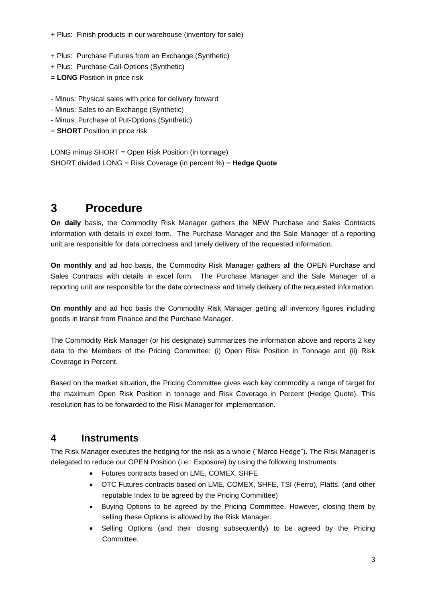- + Plus: Finish products in our warehouse (inventory for sale)
- + Plus: Purchase Futures from an Exchange (Synthetic)
- + Plus: Purchase Call-Options (Synthetic)
- = **LONG** Position in price risk
- Minus: Physical sales with price for delivery forward
- Minus: Sales to an Exchange (Synthetic)
- Minus: Purchase of Put-Options (Synthetic)
- = **SHORT** Position in price risk

LONG minus SHORT = Open Risk Position (in tonnage) SHORT divided LONG = Risk Coverage (in percent %) = **Hedge Quote**

# **3 Procedure**

**On daily** basis, the Commodity Risk Manager gathers the NEW Purchase and Sales Contracts information with details in excel form. The Purchase Manager and the Sale Manager of a reporting unit are responsible for data correctness and timely delivery of the requested information.

**On monthly** and ad hoc basis, the Commodity Risk Manager gathers all the OPEN Purchase and Sales Contracts with details in excel form. The Purchase Manager and the Sale Manager of a reporting unit are responsible for the data correctness and timely delivery of the requested information.

**On monthly** and ad hoc basis the Commodity Risk Manager getting all inventory figures including goods in transit from Finance and the Purchase Manager.

The Commodity Risk Manager (or his designate) summarizes the information above and reports 2 key data to the Members of the Pricing Committee: (i) Open Risk Position in Tonnage and (ii) Risk Coverage in Percent.

Based on the market situation, the Pricing Committee gives each key commodity a range of target for the maximum Open Risk Position in tonnage and Risk Coverage in Percent (Hedge Quote). This resolution has to be forwarded to the Risk Manager for implementation.

### **4 Instruments**

The Risk Manager executes the hedging for the risk as a whole ("Marco Hedge"). The Risk Manager is delegated to reduce our OPEN Position (i.e.: Exposure) by using the following Instruments:

- Futures contracts based on LME, COMEX, SHFE
- OTC Futures contracts based on LME, COMEX, SHFE, TSI (Ferro), Platts. (and other reputable Index to be agreed by the Pricing Committee)
- Buying Options to be agreed by the Pricing Committee. However, closing them by selling these Options is allowed by the Risk Manager.
- Selling Options (and their closing subsequently) to be agreed by the Pricing **Committee**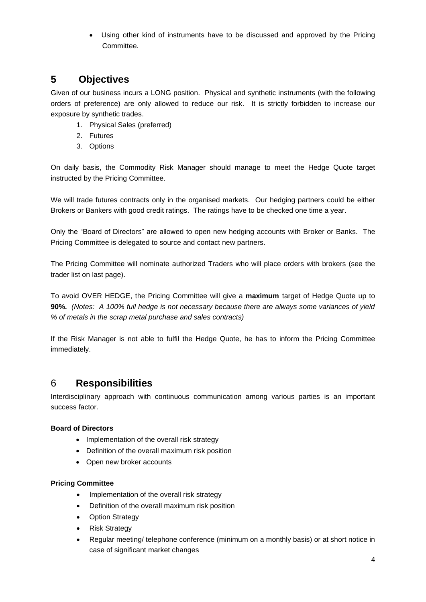Using other kind of instruments have to be discussed and approved by the Pricing **Committee** 

## **5 Objectives**

Given of our business incurs a LONG position. Physical and synthetic instruments (with the following orders of preference) are only allowed to reduce our risk. It is strictly forbidden to increase our exposure by synthetic trades.

- 1. Physical Sales (preferred)
- 2. Futures
- 3. Options

On daily basis, the Commodity Risk Manager should manage to meet the Hedge Quote target instructed by the Pricing Committee.

We will trade futures contracts only in the organised markets. Our hedging partners could be either Brokers or Bankers with good credit ratings. The ratings have to be checked one time a year.

Only the "Board of Directors" are allowed to open new hedging accounts with Broker or Banks. The Pricing Committee is delegated to source and contact new partners.

The Pricing Committee will nominate authorized Traders who will place orders with brokers (see the trader list on last page).

To avoid OVER HEDGE, the Pricing Committee will give a **maximum** target of Hedge Quote up to **90%.** *(Notes: A 100% full hedge is not necessary because there are always some variances of yield % of metals in the scrap metal purchase and sales contracts)*

If the Risk Manager is not able to fulfil the Hedge Quote, he has to inform the Pricing Committee immediately.

### 6 **Responsibilities**

Interdisciplinary approach with continuous communication among various parties is an important success factor.

#### **Board of Directors**

- Implementation of the overall risk strategy
- Definition of the overall maximum risk position
- Open new broker accounts

#### **Pricing Committee**

- Implementation of the overall risk strategy
- Definition of the overall maximum risk position
- Option Strategy
- Risk Strategy
- Regular meeting/ telephone conference (minimum on a monthly basis) or at short notice in case of significant market changes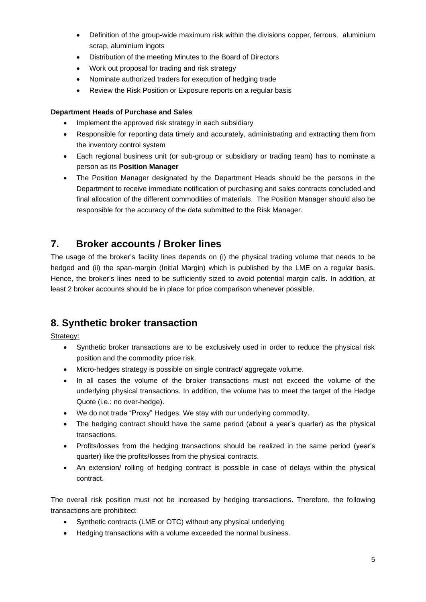- Definition of the group-wide maximum risk within the divisions copper, ferrous, aluminium scrap, aluminium ingots
- Distribution of the meeting Minutes to the Board of Directors
- Work out proposal for trading and risk strategy
- Nominate authorized traders for execution of hedging trade
- Review the Risk Position or Exposure reports on a regular basis

#### **Department Heads of Purchase and Sales**

- Implement the approved risk strategy in each subsidiary
- Responsible for reporting data timely and accurately, administrating and extracting them from the inventory control system
- Each regional business unit (or sub-group or subsidiary or trading team) has to nominate a person as its **Position Manager**
- The Position Manager designated by the Department Heads should be the persons in the Department to receive immediate notification of purchasing and sales contracts concluded and final allocation of the different commodities of materials. The Position Manager should also be responsible for the accuracy of the data submitted to the Risk Manager.

### **7. Broker accounts / Broker lines**

The usage of the broker's facility lines depends on (i) the physical trading volume that needs to be hedged and (ii) the span-margin (Initial Margin) which is published by the LME on a regular basis. Hence, the broker's lines need to be sufficiently sized to avoid potential margin calls. In addition, at least 2 broker accounts should be in place for price comparison whenever possible.

# **8. Synthetic broker transaction**

Strategy:

- Synthetic broker transactions are to be exclusively used in order to reduce the physical risk position and the commodity price risk.
- Micro-hedges strategy is possible on single contract/aggregate volume.
- In all cases the volume of the broker transactions must not exceed the volume of the underlying physical transactions. In addition, the volume has to meet the target of the Hedge Quote (i.e.: no over-hedge).
- We do not trade "Proxy" Hedges. We stay with our underlying commodity.
- The hedging contract should have the same period (about a year's quarter) as the physical transactions.
- Profits/losses from the hedging transactions should be realized in the same period (year's quarter) like the profits/losses from the physical contracts.
- An extension/ rolling of hedging contract is possible in case of delays within the physical contract.

The overall risk position must not be increased by hedging transactions. Therefore, the following transactions are prohibited:

- Synthetic contracts (LME or OTC) without any physical underlying
- Hedging transactions with a volume exceeded the normal business.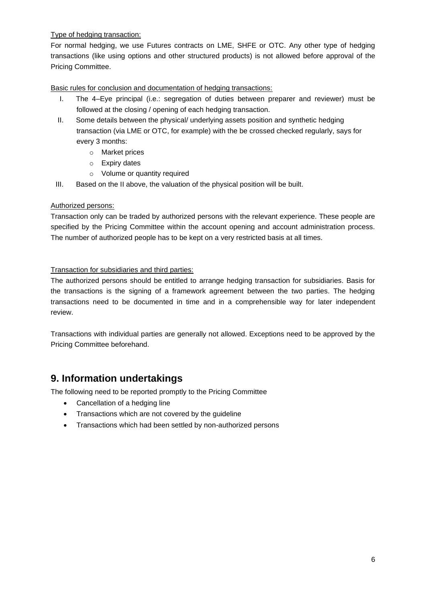Type of hedging transaction:

For normal hedging, we use Futures contracts on LME, SHFE or OTC. Any other type of hedging transactions (like using options and other structured products) is not allowed before approval of the Pricing Committee.

Basic rules for conclusion and documentation of hedging transactions:

- I. The 4–Eye principal (i.e.: segregation of duties between preparer and reviewer) must be followed at the closing / opening of each hedging transaction.
- II. Some details between the physical/ underlying assets position and synthetic hedging transaction (via LME or OTC, for example) with the be crossed checked regularly, says for every 3 months:
	- o Market prices
	- o Expiry dates
	- o Volume or quantity required
- III. Based on the II above, the valuation of the physical position will be built.

#### Authorized persons:

Transaction only can be traded by authorized persons with the relevant experience. These people are specified by the Pricing Committee within the account opening and account administration process. The number of authorized people has to be kept on a very restricted basis at all times.

#### Transaction for subsidiaries and third parties:

The authorized persons should be entitled to arrange hedging transaction for subsidiaries. Basis for the transactions is the signing of a framework agreement between the two parties. The hedging transactions need to be documented in time and in a comprehensible way for later independent review.

Transactions with individual parties are generally not allowed. Exceptions need to be approved by the Pricing Committee beforehand.

### **9. Information undertakings**

The following need to be reported promptly to the Pricing Committee

- Cancellation of a hedging line
- Transactions which are not covered by the guideline
- Transactions which had been settled by non-authorized persons